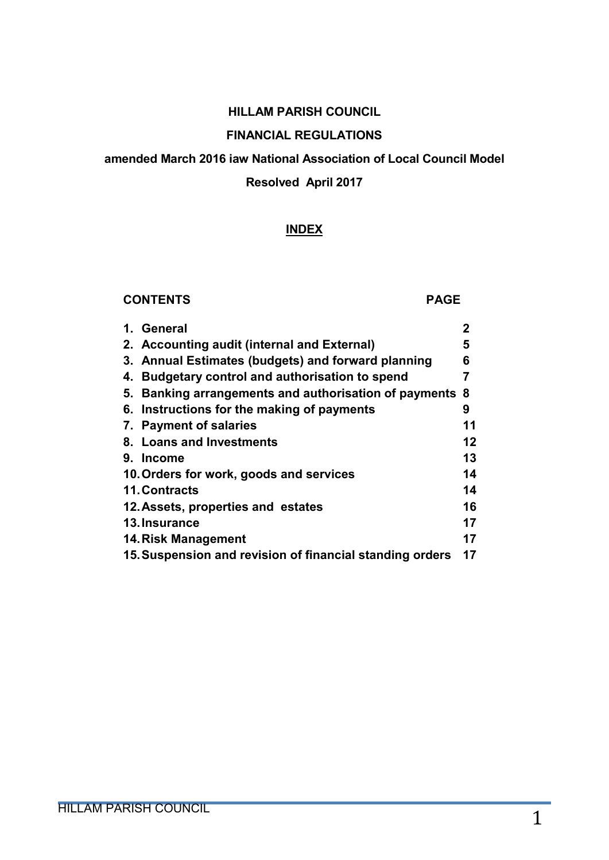#### HILLAM PARISH COUNCIL

# FINANCIAL REGULATIONS

#### amended March 2016 iaw National Association of Local Council Model

#### Resolved April 2017

#### INDEX

#### CONTENTS PAGE

|    | 1. General                                               | 2       |
|----|----------------------------------------------------------|---------|
|    | 2. Accounting audit (internal and External)              | 5       |
|    | 3. Annual Estimates (budgets) and forward planning       | 6       |
| 4. | <b>Budgetary control and authorisation to spend</b>      | 7       |
| 5. | Banking arrangements and authorisation of payments 8     |         |
|    | 6. Instructions for the making of payments               | 9       |
|    | 7. Payment of salaries                                   | 11      |
|    | 8. Loans and Investments                                 | $12 \,$ |
|    | 9. Income                                                | 13      |
|    | 10. Orders for work, goods and services                  | 14      |
|    | <b>11. Contracts</b>                                     | 14      |
|    | 12. Assets, properties and estates                       | 16      |
|    | 13. Insurance                                            | 17      |
|    | 14. Risk Management                                      | 17      |
|    | 15. Suspension and revision of financial standing orders | 17      |
|    |                                                          |         |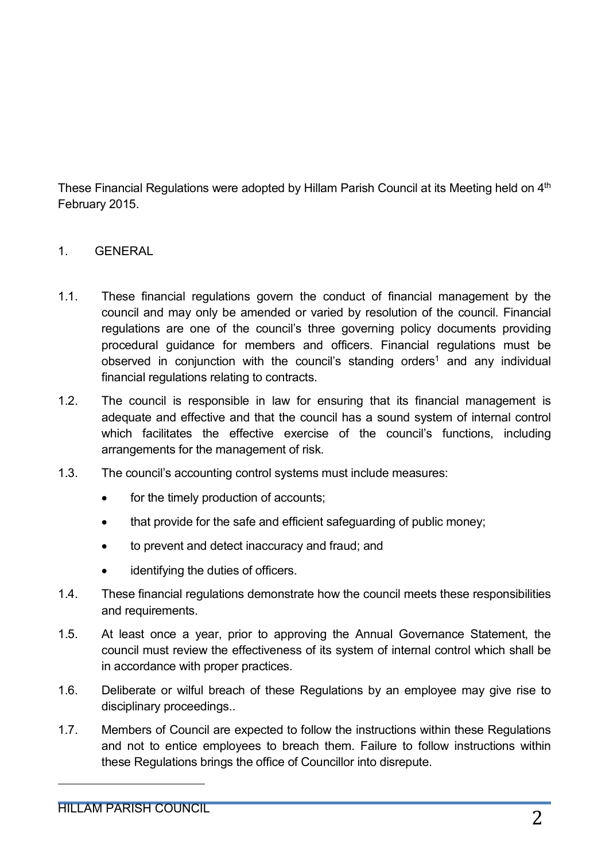These Financial Regulations were adopted by Hillam Parish Council at its Meeting held on 4<sup>th</sup> February 2015.

## 1. GENERAL

- 1.1. These financial regulations govern the conduct of financial management by the council and may only be amended or varied by resolution of the council. Financial regulations are one of the council's three governing policy documents providing procedural guidance for members and officers. Financial regulations must be observed in conjunction with the council's standing orders<sup>1</sup> and any individual financial regulations relating to contracts.
- 1.2. The council is responsible in law for ensuring that its financial management is adequate and effective and that the council has a sound system of internal control which facilitates the effective exercise of the council's functions, including arrangements for the management of risk.
- 1.3. The council's accounting control systems must include measures:
	- for the timely production of accounts;
	- that provide for the safe and efficient safeguarding of public money;
	- to prevent and detect inaccuracy and fraud; and
	- identifying the duties of officers.
- 1.4. These financial regulations demonstrate how the council meets these responsibilities and requirements.
- 1.5. At least once a year, prior to approving the Annual Governance Statement, the council must review the effectiveness of its system of internal control which shall be in accordance with proper practices.
- 1.6. Deliberate or wilful breach of these Regulations by an employee may give rise to disciplinary proceedings..
- 1.7. Members of Council are expected to follow the instructions within these Regulations and not to entice employees to breach them. Failure to follow instructions within these Regulations brings the office of Councillor into disrepute.

<u>.</u>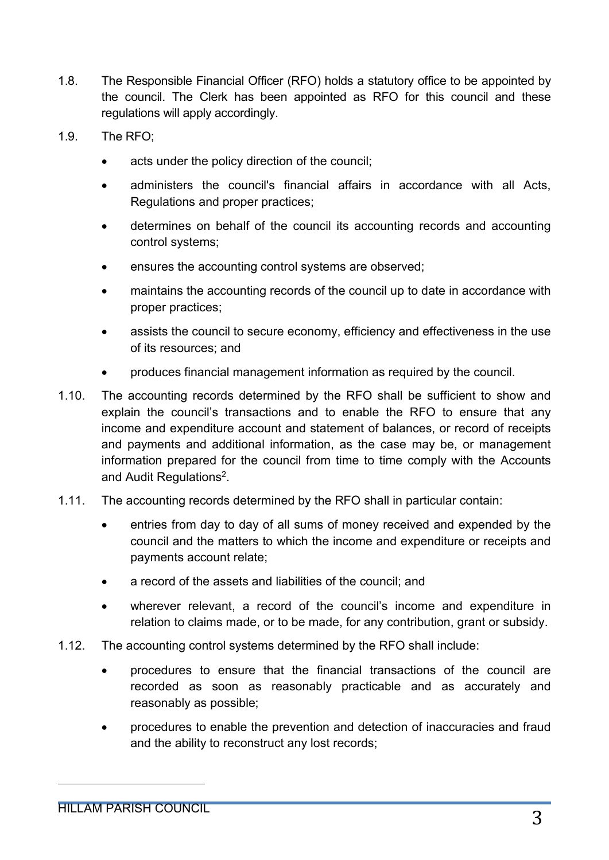- 1.8. The Responsible Financial Officer (RFO) holds a statutory office to be appointed by the council. The Clerk has been appointed as RFO for this council and these regulations will apply accordingly.
- 1.9. The RFO;
	- acts under the policy direction of the council;
	- administers the council's financial affairs in accordance with all Acts, Regulations and proper practices;
	- determines on behalf of the council its accounting records and accounting control systems;
	- ensures the accounting control systems are observed;
	- maintains the accounting records of the council up to date in accordance with proper practices;
	- assists the council to secure economy, efficiency and effectiveness in the use of its resources; and
	- produces financial management information as required by the council.
- 1.10. The accounting records determined by the RFO shall be sufficient to show and explain the council's transactions and to enable the RFO to ensure that any income and expenditure account and statement of balances, or record of receipts and payments and additional information, as the case may be, or management information prepared for the council from time to time comply with the Accounts and Audit Regulations<sup>2</sup>.
- 1.11. The accounting records determined by the RFO shall in particular contain:
	- entries from day to day of all sums of money received and expended by the council and the matters to which the income and expenditure or receipts and payments account relate;
	- a record of the assets and liabilities of the council; and
	- wherever relevant, a record of the council's income and expenditure in relation to claims made, or to be made, for any contribution, grant or subsidy.
- 1.12. The accounting control systems determined by the RFO shall include:
	- procedures to ensure that the financial transactions of the council are recorded as soon as reasonably practicable and as accurately and reasonably as possible;
	- procedures to enable the prevention and detection of inaccuracies and fraud and the ability to reconstruct any lost records;

<u>.</u>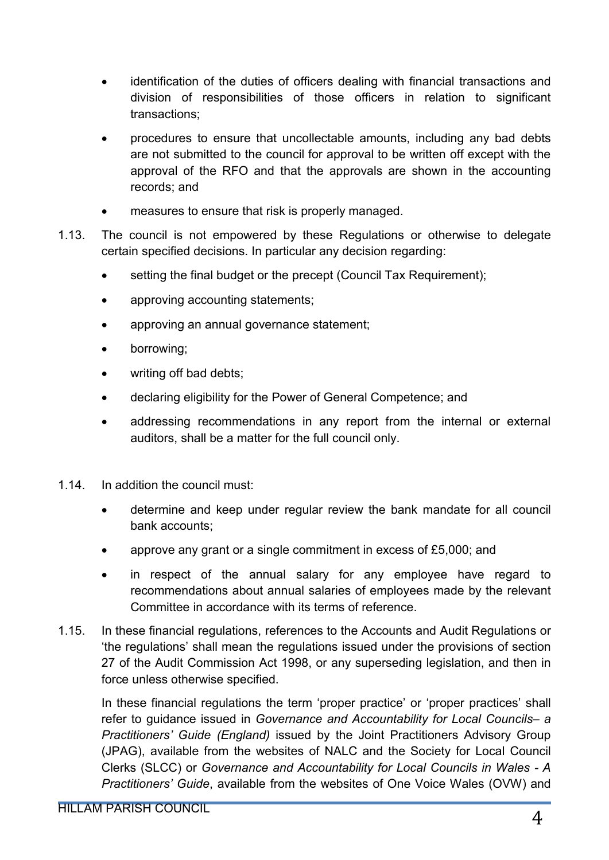- identification of the duties of officers dealing with financial transactions and division of responsibilities of those officers in relation to significant transactions;
- procedures to ensure that uncollectable amounts, including any bad debts are not submitted to the council for approval to be written off except with the approval of the RFO and that the approvals are shown in the accounting records; and
- measures to ensure that risk is properly managed.
- 1.13. The council is not empowered by these Regulations or otherwise to delegate certain specified decisions. In particular any decision regarding:
	- setting the final budget or the precept (Council Tax Requirement):
	- approving accounting statements;
	- approving an annual governance statement;
	- borrowing;
	- writing off bad debts;
	- declaring eligibility for the Power of General Competence; and
	- addressing recommendations in any report from the internal or external auditors, shall be a matter for the full council only.
- 1.14. In addition the council must:
	- determine and keep under regular review the bank mandate for all council bank accounts;
	- approve any grant or a single commitment in excess of £5,000; and
	- in respect of the annual salary for any employee have regard to recommendations about annual salaries of employees made by the relevant Committee in accordance with its terms of reference.
- 1.15. In these financial regulations, references to the Accounts and Audit Regulations or 'the regulations' shall mean the regulations issued under the provisions of section 27 of the Audit Commission Act 1998, or any superseding legislation, and then in force unless otherwise specified.

In these financial regulations the term 'proper practice' or 'proper practices' shall refer to guidance issued in *Governance and Accountability for Local Councils– a Practitioners' Guide (England)* issued by the Joint Practitioners Advisory Group (JPAG), available from the websites of NALC and the Society for Local Council Clerks (SLCC) or *Governance and Accountability for Local Councils in Wales - A Practitioners' Guide*, available from the websites of One Voice Wales (OVW) and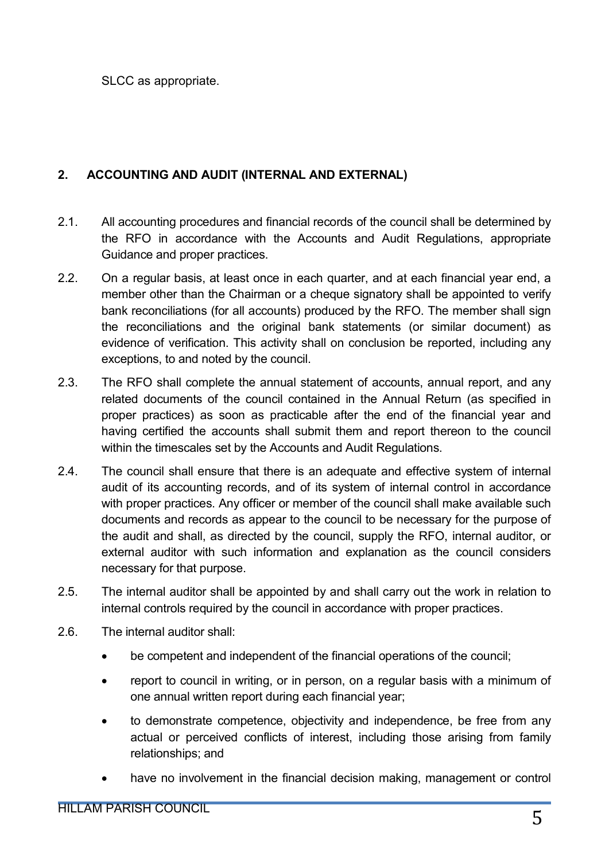SLCC as appropriate.

# 2. ACCOUNTING AND AUDIT (INTERNAL AND EXTERNAL)

- 2.1. All accounting procedures and financial records of the council shall be determined by the RFO in accordance with the Accounts and Audit Regulations, appropriate Guidance and proper practices.
- 2.2. On a regular basis, at least once in each quarter, and at each financial year end, a member other than the Chairman or a cheque signatory shall be appointed to verify bank reconciliations (for all accounts) produced by the RFO. The member shall sign the reconciliations and the original bank statements (or similar document) as evidence of verification. This activity shall on conclusion be reported, including any exceptions, to and noted by the council.
- 2.3. The RFO shall complete the annual statement of accounts, annual report, and any related documents of the council contained in the Annual Return (as specified in proper practices) as soon as practicable after the end of the financial year and having certified the accounts shall submit them and report thereon to the council within the timescales set by the Accounts and Audit Regulations.
- 2.4. The council shall ensure that there is an adequate and effective system of internal audit of its accounting records, and of its system of internal control in accordance with proper practices. Any officer or member of the council shall make available such documents and records as appear to the council to be necessary for the purpose of the audit and shall, as directed by the council, supply the RFO, internal auditor, or external auditor with such information and explanation as the council considers necessary for that purpose.
- 2.5. The internal auditor shall be appointed by and shall carry out the work in relation to internal controls required by the council in accordance with proper practices.
- 2.6. The internal auditor shall:
	- be competent and independent of the financial operations of the council;
	- report to council in writing, or in person, on a regular basis with a minimum of one annual written report during each financial year;
	- to demonstrate competence, objectivity and independence, be free from any actual or perceived conflicts of interest, including those arising from family relationships; and
	- have no involvement in the financial decision making, management or control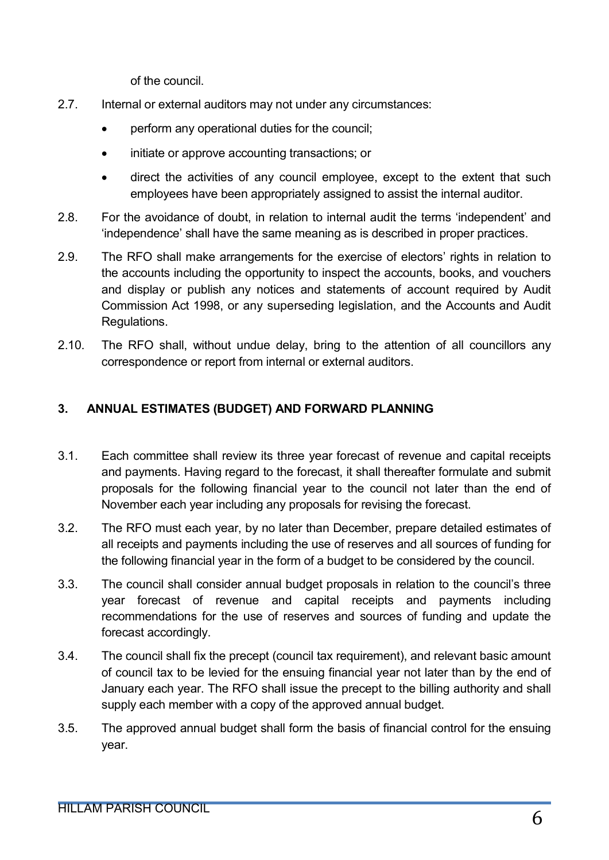of the council.

- 2.7. Internal or external auditors may not under any circumstances:
	- perform any operational duties for the council;
	- initiate or approve accounting transactions; or
	- direct the activities of any council employee, except to the extent that such employees have been appropriately assigned to assist the internal auditor.
- 2.8. For the avoidance of doubt, in relation to internal audit the terms 'independent' and 'independence' shall have the same meaning as is described in proper practices.
- 2.9. The RFO shall make arrangements for the exercise of electors' rights in relation to the accounts including the opportunity to inspect the accounts, books, and vouchers and display or publish any notices and statements of account required by Audit Commission Act 1998, or any superseding legislation, and the Accounts and Audit Regulations.
- 2.10. The RFO shall, without undue delay, bring to the attention of all councillors any correspondence or report from internal or external auditors.

# 3. ANNUAL ESTIMATES (BUDGET) AND FORWARD PLANNING

- 3.1. Each committee shall review its three year forecast of revenue and capital receipts and payments. Having regard to the forecast, it shall thereafter formulate and submit proposals for the following financial year to the council not later than the end of November each year including any proposals for revising the forecast.
- 3.2. The RFO must each year, by no later than December, prepare detailed estimates of all receipts and payments including the use of reserves and all sources of funding for the following financial year in the form of a budget to be considered by the council.
- 3.3. The council shall consider annual budget proposals in relation to the council's three year forecast of revenue and capital receipts and payments including recommendations for the use of reserves and sources of funding and update the forecast accordingly.
- 3.4. The council shall fix the precept (council tax requirement), and relevant basic amount of council tax to be levied for the ensuing financial year not later than by the end of January each year. The RFO shall issue the precept to the billing authority and shall supply each member with a copy of the approved annual budget.
- 3.5. The approved annual budget shall form the basis of financial control for the ensuing year.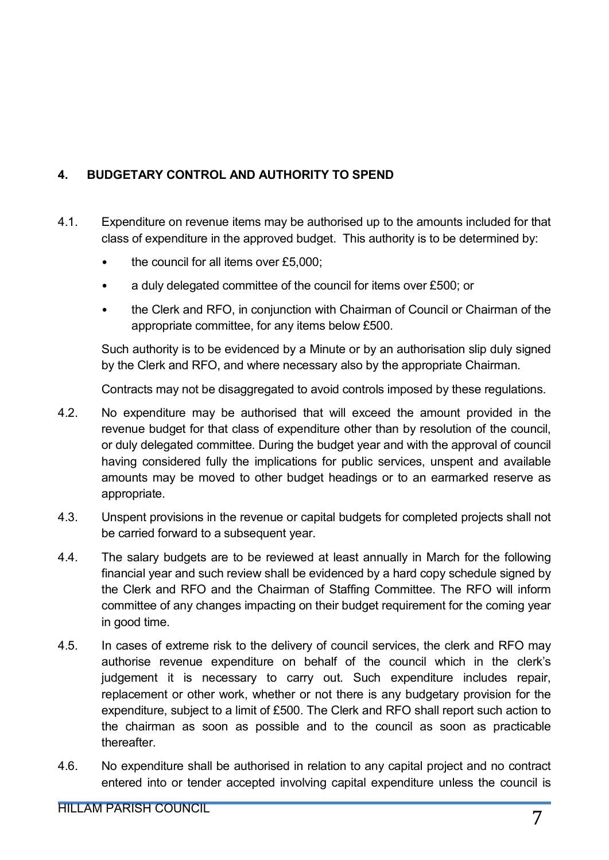# 4. BUDGETARY CONTROL AND AUTHORITY TO SPEND

- 4.1. Expenditure on revenue items may be authorised up to the amounts included for that class of expenditure in the approved budget. This authority is to be determined by:
	- the council for all items over £5,000;
	- a duly delegated committee of the council for items over £500; or
	- the Clerk and RFO, in conjunction with Chairman of Council or Chairman of the appropriate committee, for any items below £500.

Such authority is to be evidenced by a Minute or by an authorisation slip duly signed by the Clerk and RFO, and where necessary also by the appropriate Chairman.

Contracts may not be disaggregated to avoid controls imposed by these regulations.

- 4.2. No expenditure may be authorised that will exceed the amount provided in the revenue budget for that class of expenditure other than by resolution of the council, or duly delegated committee. During the budget year and with the approval of council having considered fully the implications for public services, unspent and available amounts may be moved to other budget headings or to an earmarked reserve as appropriate.
- 4.3. Unspent provisions in the revenue or capital budgets for completed projects shall not be carried forward to a subsequent year.
- 4.4. The salary budgets are to be reviewed at least annually in March for the following financial year and such review shall be evidenced by a hard copy schedule signed by the Clerk and RFO and the Chairman of Staffing Committee. The RFO will inform committee of any changes impacting on their budget requirement for the coming year in good time.
- 4.5. In cases of extreme risk to the delivery of council services, the clerk and RFO may authorise revenue expenditure on behalf of the council which in the clerk's judgement it is necessary to carry out. Such expenditure includes repair, replacement or other work, whether or not there is any budgetary provision for the expenditure, subject to a limit of £500. The Clerk and RFO shall report such action to the chairman as soon as possible and to the council as soon as practicable thereafter.
- 4.6. No expenditure shall be authorised in relation to any capital project and no contract entered into or tender accepted involving capital expenditure unless the council is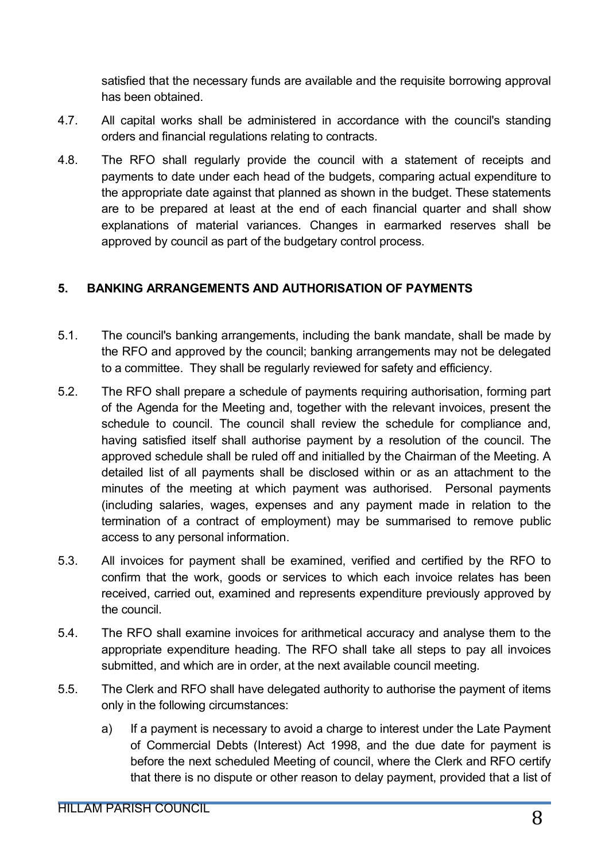satisfied that the necessary funds are available and the requisite borrowing approval has been obtained.

- 4.7. All capital works shall be administered in accordance with the council's standing orders and financial regulations relating to contracts.
- 4.8. The RFO shall regularly provide the council with a statement of receipts and payments to date under each head of the budgets, comparing actual expenditure to the appropriate date against that planned as shown in the budget. These statements are to be prepared at least at the end of each financial quarter and shall show explanations of material variances. Changes in earmarked reserves shall be approved by council as part of the budgetary control process.

# 5. BANKING ARRANGEMENTS AND AUTHORISATION OF PAYMENTS

- 5.1. The council's banking arrangements, including the bank mandate, shall be made by the RFO and approved by the council; banking arrangements may not be delegated to a committee. They shall be regularly reviewed for safety and efficiency.
- 5.2. The RFO shall prepare a schedule of payments requiring authorisation, forming part of the Agenda for the Meeting and, together with the relevant invoices, present the schedule to council. The council shall review the schedule for compliance and, having satisfied itself shall authorise payment by a resolution of the council. The approved schedule shall be ruled off and initialled by the Chairman of the Meeting. A detailed list of all payments shall be disclosed within or as an attachment to the minutes of the meeting at which payment was authorised. Personal payments (including salaries, wages, expenses and any payment made in relation to the termination of a contract of employment) may be summarised to remove public access to any personal information.
- 5.3. All invoices for payment shall be examined, verified and certified by the RFO to confirm that the work, goods or services to which each invoice relates has been received, carried out, examined and represents expenditure previously approved by the council.
- 5.4. The RFO shall examine invoices for arithmetical accuracy and analyse them to the appropriate expenditure heading. The RFO shall take all steps to pay all invoices submitted, and which are in order, at the next available council meeting.
- 5.5. The Clerk and RFO shall have delegated authority to authorise the payment of items only in the following circumstances:
	- a) If a payment is necessary to avoid a charge to interest under the Late Payment of Commercial Debts (Interest) Act 1998, and the due date for payment is before the next scheduled Meeting of council, where the Clerk and RFO certify that there is no dispute or other reason to delay payment, provided that a list of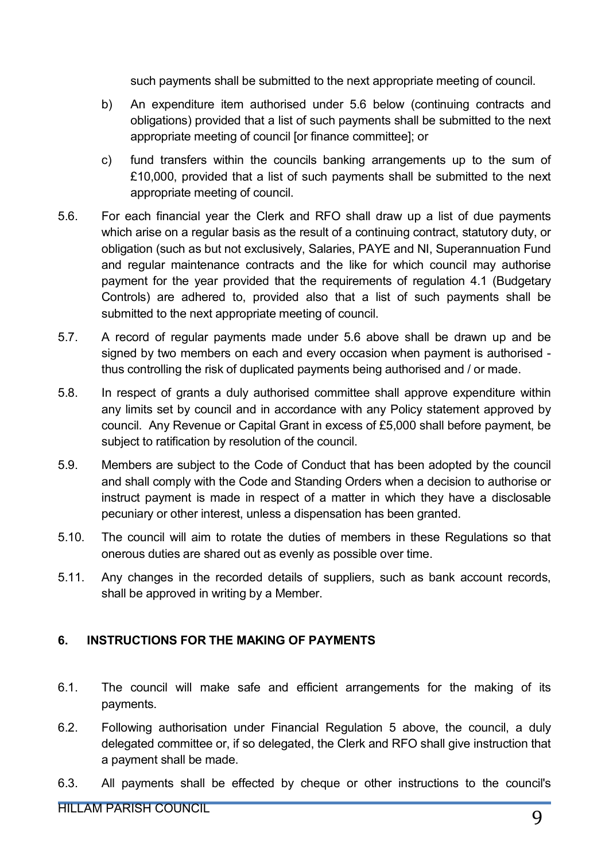such payments shall be submitted to the next appropriate meeting of council.

- b) An expenditure item authorised under 5.6 below (continuing contracts and obligations) provided that a list of such payments shall be submitted to the next appropriate meeting of council [or finance committee]; or
- c) fund transfers within the councils banking arrangements up to the sum of £10,000, provided that a list of such payments shall be submitted to the next appropriate meeting of council.
- 5.6. For each financial year the Clerk and RFO shall draw up a list of due payments which arise on a regular basis as the result of a continuing contract, statutory duty, or obligation (such as but not exclusively, Salaries, PAYE and NI, Superannuation Fund and regular maintenance contracts and the like for which council may authorise payment for the year provided that the requirements of regulation 4.1 (Budgetary Controls) are adhered to, provided also that a list of such payments shall be submitted to the next appropriate meeting of council.
- 5.7. A record of regular payments made under 5.6 above shall be drawn up and be signed by two members on each and every occasion when payment is authorised thus controlling the risk of duplicated payments being authorised and / or made.
- 5.8. In respect of grants a duly authorised committee shall approve expenditure within any limits set by council and in accordance with any Policy statement approved by council. Any Revenue or Capital Grant in excess of £5,000 shall before payment, be subject to ratification by resolution of the council.
- 5.9. Members are subject to the Code of Conduct that has been adopted by the council and shall comply with the Code and Standing Orders when a decision to authorise or instruct payment is made in respect of a matter in which they have a disclosable pecuniary or other interest, unless a dispensation has been granted.
- 5.10. The council will aim to rotate the duties of members in these Regulations so that onerous duties are shared out as evenly as possible over time.
- 5.11. Any changes in the recorded details of suppliers, such as bank account records, shall be approved in writing by a Member.

## 6. INSTRUCTIONS FOR THE MAKING OF PAYMENTS

- 6.1. The council will make safe and efficient arrangements for the making of its payments.
- 6.2. Following authorisation under Financial Regulation 5 above, the council, a duly delegated committee or, if so delegated, the Clerk and RFO shall give instruction that a payment shall be made.
- 6.3. All payments shall be effected by cheque or other instructions to the council's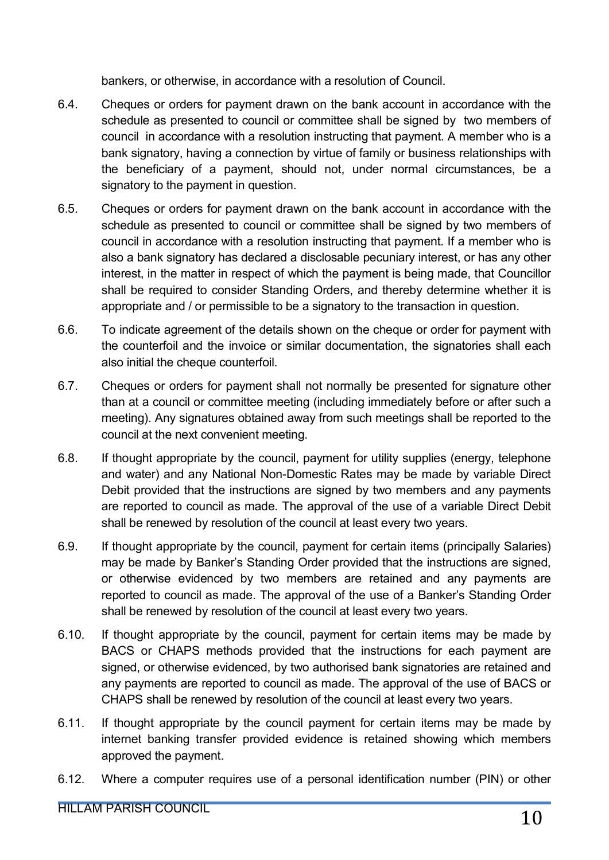bankers, or otherwise, in accordance with a resolution of Council.

- 6.4. Cheques or orders for payment drawn on the bank account in accordance with the schedule as presented to council or committee shall be signed by two members of council in accordance with a resolution instructing that payment. A member who is a bank signatory, having a connection by virtue of family or business relationships with the beneficiary of a payment, should not, under normal circumstances, be a signatory to the payment in question.
- 6.5. Cheques or orders for payment drawn on the bank account in accordance with the schedule as presented to council or committee shall be signed by two members of council in accordance with a resolution instructing that payment. If a member who is also a bank signatory has declared a disclosable pecuniary interest, or has any other interest, in the matter in respect of which the payment is being made, that Councillor shall be required to consider Standing Orders, and thereby determine whether it is appropriate and / or permissible to be a signatory to the transaction in question.
- 6.6. To indicate agreement of the details shown on the cheque or order for payment with the counterfoil and the invoice or similar documentation, the signatories shall each also initial the cheque counterfoil.
- 6.7. Cheques or orders for payment shall not normally be presented for signature other than at a council or committee meeting (including immediately before or after such a meeting). Any signatures obtained away from such meetings shall be reported to the council at the next convenient meeting.
- 6.8. If thought appropriate by the council, payment for utility supplies (energy, telephone and water) and any National Non-Domestic Rates may be made by variable Direct Debit provided that the instructions are signed by two members and any payments are reported to council as made. The approval of the use of a variable Direct Debit shall be renewed by resolution of the council at least every two years.
- 6.9. If thought appropriate by the council, payment for certain items (principally Salaries) may be made by Banker's Standing Order provided that the instructions are signed, or otherwise evidenced by two members are retained and any payments are reported to council as made. The approval of the use of a Banker's Standing Order shall be renewed by resolution of the council at least every two years.
- 6.10. If thought appropriate by the council, payment for certain items may be made by BACS or CHAPS methods provided that the instructions for each payment are signed, or otherwise evidenced, by two authorised bank signatories are retained and any payments are reported to council as made. The approval of the use of BACS or CHAPS shall be renewed by resolution of the council at least every two years.
- 6.11. If thought appropriate by the council payment for certain items may be made by internet banking transfer provided evidence is retained showing which members approved the payment.
- 6.12. Where a computer requires use of a personal identification number (PIN) or other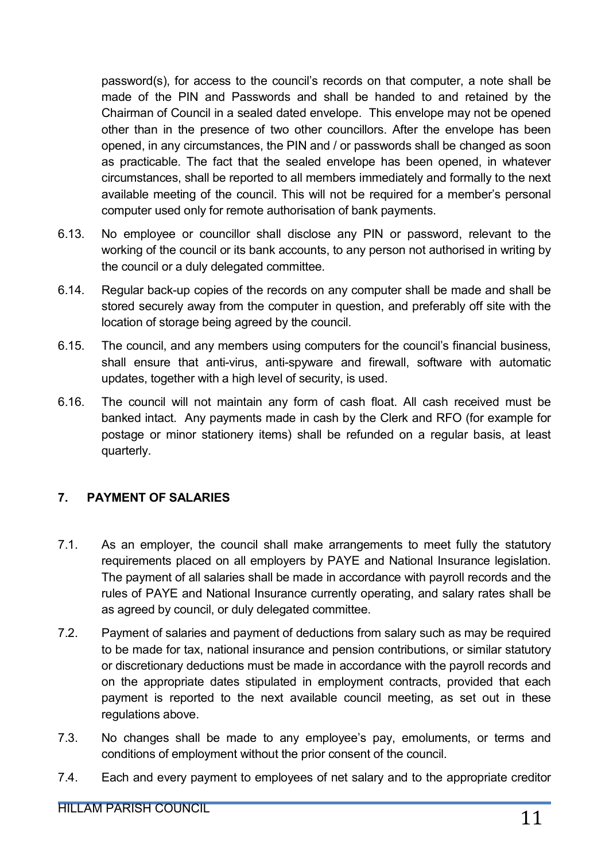password(s), for access to the council's records on that computer, a note shall be made of the PIN and Passwords and shall be handed to and retained by the Chairman of Council in a sealed dated envelope. This envelope may not be opened other than in the presence of two other councillors. After the envelope has been opened, in any circumstances, the PIN and / or passwords shall be changed as soon as practicable. The fact that the sealed envelope has been opened, in whatever circumstances, shall be reported to all members immediately and formally to the next available meeting of the council. This will not be required for a member's personal computer used only for remote authorisation of bank payments.

- 6.13. No employee or councillor shall disclose any PIN or password, relevant to the working of the council or its bank accounts, to any person not authorised in writing by the council or a duly delegated committee.
- 6.14. Regular back-up copies of the records on any computer shall be made and shall be stored securely away from the computer in question, and preferably off site with the location of storage being agreed by the council.
- 6.15. The council, and any members using computers for the council's financial business, shall ensure that anti-virus, anti-spyware and firewall, software with automatic updates, together with a high level of security, is used.
- 6.16. The council will not maintain any form of cash float. All cash received must be banked intact. Any payments made in cash by the Clerk and RFO (for example for postage or minor stationery items) shall be refunded on a regular basis, at least quarterly.

# 7. PAYMENT OF SALARIES

- 7.1. As an employer, the council shall make arrangements to meet fully the statutory requirements placed on all employers by PAYE and National Insurance legislation. The payment of all salaries shall be made in accordance with payroll records and the rules of PAYE and National Insurance currently operating, and salary rates shall be as agreed by council, or duly delegated committee.
- 7.2. Payment of salaries and payment of deductions from salary such as may be required to be made for tax, national insurance and pension contributions, or similar statutory or discretionary deductions must be made in accordance with the payroll records and on the appropriate dates stipulated in employment contracts, provided that each payment is reported to the next available council meeting, as set out in these regulations above.
- 7.3. No changes shall be made to any employee's pay, emoluments, or terms and conditions of employment without the prior consent of the council.
- 7.4. Each and every payment to employees of net salary and to the appropriate creditor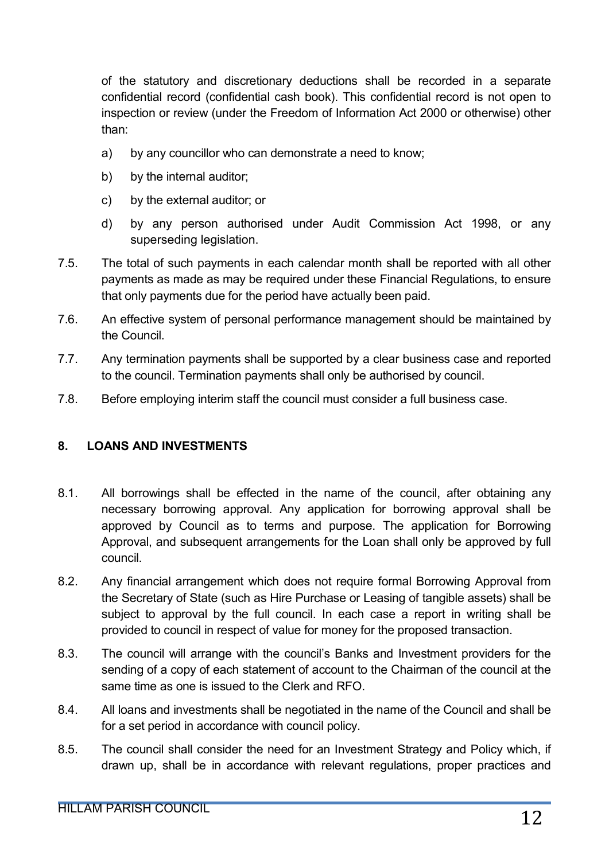of the statutory and discretionary deductions shall be recorded in a separate confidential record (confidential cash book). This confidential record is not open to inspection or review (under the Freedom of Information Act 2000 or otherwise) other than:

- a) by any councillor who can demonstrate a need to know;
- b) by the internal auditor;
- c) by the external auditor; or
- d) by any person authorised under Audit Commission Act 1998, or any superseding legislation.
- 7.5. The total of such payments in each calendar month shall be reported with all other payments as made as may be required under these Financial Regulations, to ensure that only payments due for the period have actually been paid.
- 7.6. An effective system of personal performance management should be maintained by the Council.
- 7.7. Any termination payments shall be supported by a clear business case and reported to the council. Termination payments shall only be authorised by council.
- 7.8. Before employing interim staff the council must consider a full business case.

## 8. LOANS AND INVESTMENTS

- 8.1. All borrowings shall be effected in the name of the council, after obtaining any necessary borrowing approval. Any application for borrowing approval shall be approved by Council as to terms and purpose. The application for Borrowing Approval, and subsequent arrangements for the Loan shall only be approved by full council.
- 8.2. Any financial arrangement which does not require formal Borrowing Approval from the Secretary of State (such as Hire Purchase or Leasing of tangible assets) shall be subject to approval by the full council. In each case a report in writing shall be provided to council in respect of value for money for the proposed transaction.
- 8.3. The council will arrange with the council's Banks and Investment providers for the sending of a copy of each statement of account to the Chairman of the council at the same time as one is issued to the Clerk and RFO.
- 8.4. All loans and investments shall be negotiated in the name of the Council and shall be for a set period in accordance with council policy.
- 8.5. The council shall consider the need for an Investment Strategy and Policy which, if drawn up, shall be in accordance with relevant regulations, proper practices and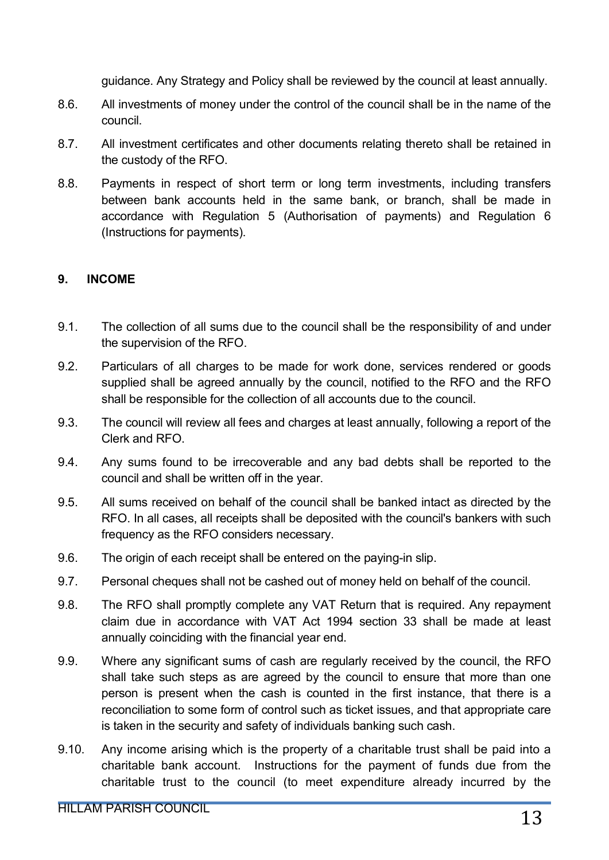guidance. Any Strategy and Policy shall be reviewed by the council at least annually.

- 8.6. All investments of money under the control of the council shall be in the name of the council.
- 8.7. All investment certificates and other documents relating thereto shall be retained in the custody of the RFO.
- 8.8. Payments in respect of short term or long term investments, including transfers between bank accounts held in the same bank, or branch, shall be made in accordance with Regulation 5 (Authorisation of payments) and Regulation 6 (Instructions for payments).

#### 9. INCOME

- 9.1. The collection of all sums due to the council shall be the responsibility of and under the supervision of the RFO.
- 9.2. Particulars of all charges to be made for work done, services rendered or goods supplied shall be agreed annually by the council, notified to the RFO and the RFO shall be responsible for the collection of all accounts due to the council.
- 9.3. The council will review all fees and charges at least annually, following a report of the Clerk and RFO.
- 9.4. Any sums found to be irrecoverable and any bad debts shall be reported to the council and shall be written off in the year.
- 9.5. All sums received on behalf of the council shall be banked intact as directed by the RFO. In all cases, all receipts shall be deposited with the council's bankers with such frequency as the RFO considers necessary.
- 9.6. The origin of each receipt shall be entered on the paying-in slip.
- 9.7. Personal cheques shall not be cashed out of money held on behalf of the council.
- 9.8. The RFO shall promptly complete any VAT Return that is required. Any repayment claim due in accordance with VAT Act 1994 section 33 shall be made at least annually coinciding with the financial year end.
- 9.9. Where any significant sums of cash are regularly received by the council, the RFO shall take such steps as are agreed by the council to ensure that more than one person is present when the cash is counted in the first instance, that there is a reconciliation to some form of control such as ticket issues, and that appropriate care is taken in the security and safety of individuals banking such cash.
- 9.10. Any income arising which is the property of a charitable trust shall be paid into a charitable bank account. Instructions for the payment of funds due from the charitable trust to the council (to meet expenditure already incurred by the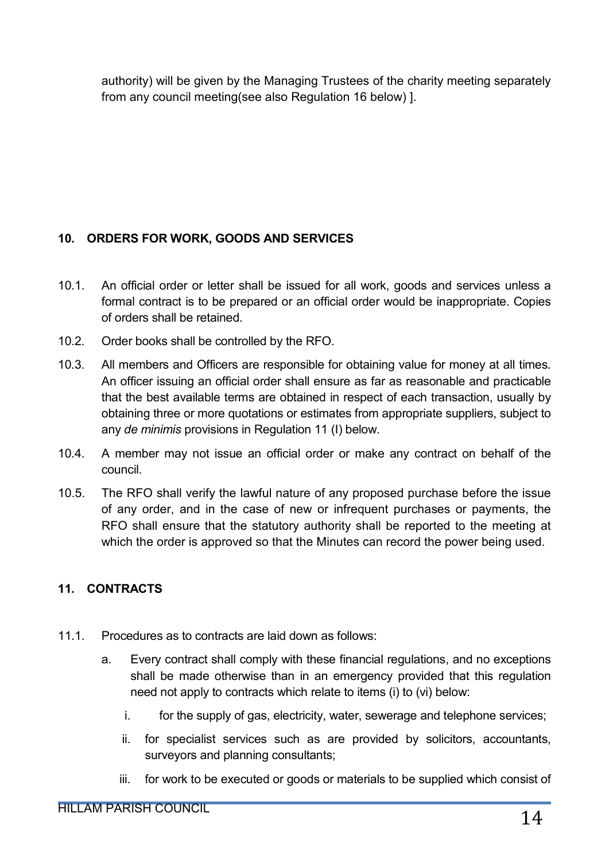authority) will be given by the Managing Trustees of the charity meeting separately from any council meeting(see also Regulation 16 below) ].

# 10. ORDERS FOR WORK, GOODS AND SERVICES

- 10.1. An official order or letter shall be issued for all work, goods and services unless a formal contract is to be prepared or an official order would be inappropriate. Copies of orders shall be retained.
- 10.2. Order books shall be controlled by the RFO.
- 10.3. All members and Officers are responsible for obtaining value for money at all times. An officer issuing an official order shall ensure as far as reasonable and practicable that the best available terms are obtained in respect of each transaction, usually by obtaining three or more quotations or estimates from appropriate suppliers, subject to any *de minimis* provisions in Regulation 11 (I) below.
- 10.4. A member may not issue an official order or make any contract on behalf of the council.
- 10.5. The RFO shall verify the lawful nature of any proposed purchase before the issue of any order, and in the case of new or infrequent purchases or payments, the RFO shall ensure that the statutory authority shall be reported to the meeting at which the order is approved so that the Minutes can record the power being used.

# 11. CONTRACTS

- 11.1. Procedures as to contracts are laid down as follows:
	- a. Every contract shall comply with these financial regulations, and no exceptions shall be made otherwise than in an emergency provided that this regulation need not apply to contracts which relate to items (i) to (vi) below:
		- i. for the supply of gas, electricity, water, sewerage and telephone services;
		- ii. for specialist services such as are provided by solicitors, accountants, surveyors and planning consultants;
		- iii. for work to be executed or goods or materials to be supplied which consist of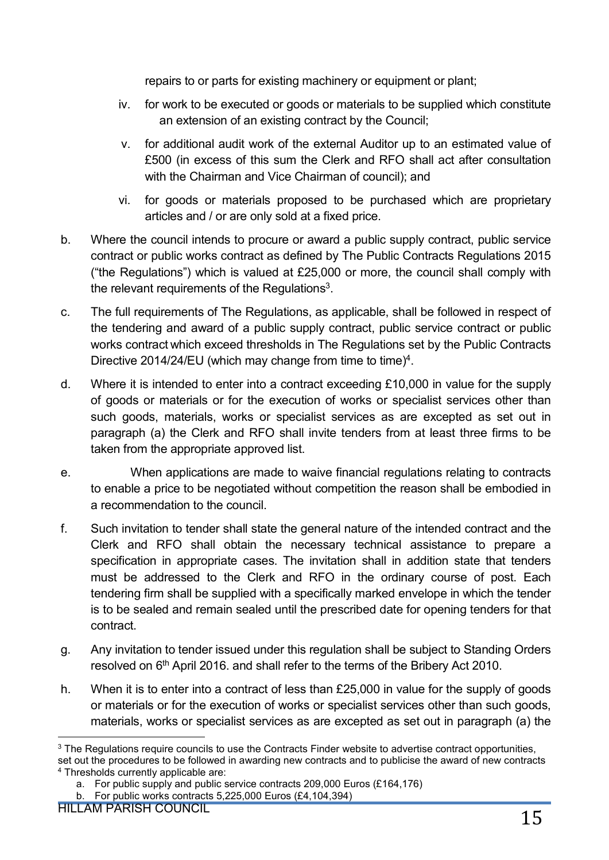repairs to or parts for existing machinery or equipment or plant;

- iv. for work to be executed or goods or materials to be supplied which constitute an extension of an existing contract by the Council;
- v. for additional audit work of the external Auditor up to an estimated value of £500 (in excess of this sum the Clerk and RFO shall act after consultation with the Chairman and Vice Chairman of council); and
- vi. for goods or materials proposed to be purchased which are proprietary articles and / or are only sold at a fixed price.
- b. Where the council intends to procure or award a public supply contract, public service contract or public works contract as defined by The Public Contracts Regulations 2015 ("the Regulations") which is valued at £25,000 or more, the council shall comply with the relevant requirements of the Requiations<sup>3</sup>.
- c. The full requirements of The Regulations, as applicable, shall be followed in respect of the tendering and award of a public supply contract, public service contract or public works contract which exceed thresholds in The Regulations set by the Public Contracts Directive 2014/24/EU (which may change from time to time)<sup>4</sup>.
- d. Where it is intended to enter into a contract exceeding £10,000 in value for the supply of goods or materials or for the execution of works or specialist services other than such goods, materials, works or specialist services as are excepted as set out in paragraph (a) the Clerk and RFO shall invite tenders from at least three firms to be taken from the appropriate approved list.
- e. When applications are made to waive financial regulations relating to contracts to enable a price to be negotiated without competition the reason shall be embodied in a recommendation to the council.
- f. Such invitation to tender shall state the general nature of the intended contract and the Clerk and RFO shall obtain the necessary technical assistance to prepare a specification in appropriate cases. The invitation shall in addition state that tenders must be addressed to the Clerk and RFO in the ordinary course of post. Each tendering firm shall be supplied with a specifically marked envelope in which the tender is to be sealed and remain sealed until the prescribed date for opening tenders for that contract.
- g. Any invitation to tender issued under this regulation shall be subject to Standing Orders resolved on 6<sup>th</sup> April 2016. and shall refer to the terms of the Bribery Act 2010.
- h. When it is to enter into a contract of less than £25,000 in value for the supply of goods or materials or for the execution of works or specialist services other than such goods, materials, works or specialist services as are excepted as set out in paragraph (a) the

<sup>&</sup>lt;sup>3</sup> The Regulations require councils to use the Contracts Finder website to advertise contract opportunities, set out the procedures to be followed in awarding new contracts and to publicise the award of new contracts <sup>4</sup> Thresholds currently applicable are:

a. For public supply and public service contracts 209,000 Euros (£164,176)

b. For public works contracts 5,225,000 Euros (£4,104,394)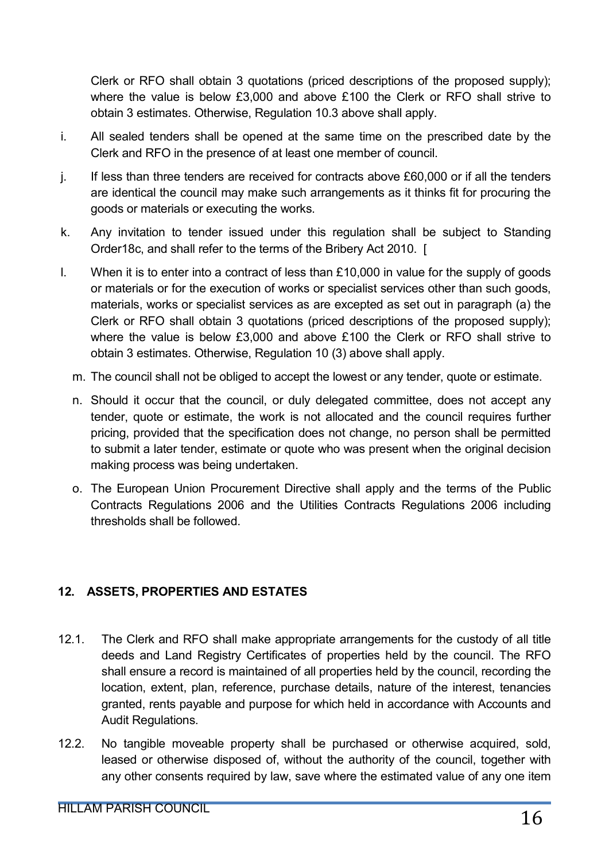Clerk or RFO shall obtain 3 quotations (priced descriptions of the proposed supply); where the value is below £3,000 and above £100 the Clerk or RFO shall strive to obtain 3 estimates. Otherwise, Regulation 10.3 above shall apply.

- i. All sealed tenders shall be opened at the same time on the prescribed date by the Clerk and RFO in the presence of at least one member of council.
- j. If less than three tenders are received for contracts above £60,000 or if all the tenders are identical the council may make such arrangements as it thinks fit for procuring the goods or materials or executing the works.
- k. Any invitation to tender issued under this regulation shall be subject to Standing Order18c, and shall refer to the terms of the Bribery Act 2010. [
- l. When it is to enter into a contract of less than £10,000 in value for the supply of goods or materials or for the execution of works or specialist services other than such goods, materials, works or specialist services as are excepted as set out in paragraph (a) the Clerk or RFO shall obtain 3 quotations (priced descriptions of the proposed supply); where the value is below £3,000 and above £100 the Clerk or RFO shall strive to obtain 3 estimates. Otherwise, Regulation 10 (3) above shall apply.
	- m. The council shall not be obliged to accept the lowest or any tender, quote or estimate.
	- n. Should it occur that the council, or duly delegated committee, does not accept any tender, quote or estimate, the work is not allocated and the council requires further pricing, provided that the specification does not change, no person shall be permitted to submit a later tender, estimate or quote who was present when the original decision making process was being undertaken.
	- o. The European Union Procurement Directive shall apply and the terms of the Public Contracts Regulations 2006 and the Utilities Contracts Regulations 2006 including thresholds shall be followed.

## 12. ASSETS, PROPERTIES AND ESTATES

- 12.1. The Clerk and RFO shall make appropriate arrangements for the custody of all title deeds and Land Registry Certificates of properties held by the council. The RFO shall ensure a record is maintained of all properties held by the council, recording the location, extent, plan, reference, purchase details, nature of the interest, tenancies granted, rents payable and purpose for which held in accordance with Accounts and Audit Regulations.
- 12.2. No tangible moveable property shall be purchased or otherwise acquired, sold, leased or otherwise disposed of, without the authority of the council, together with any other consents required by law, save where the estimated value of any one item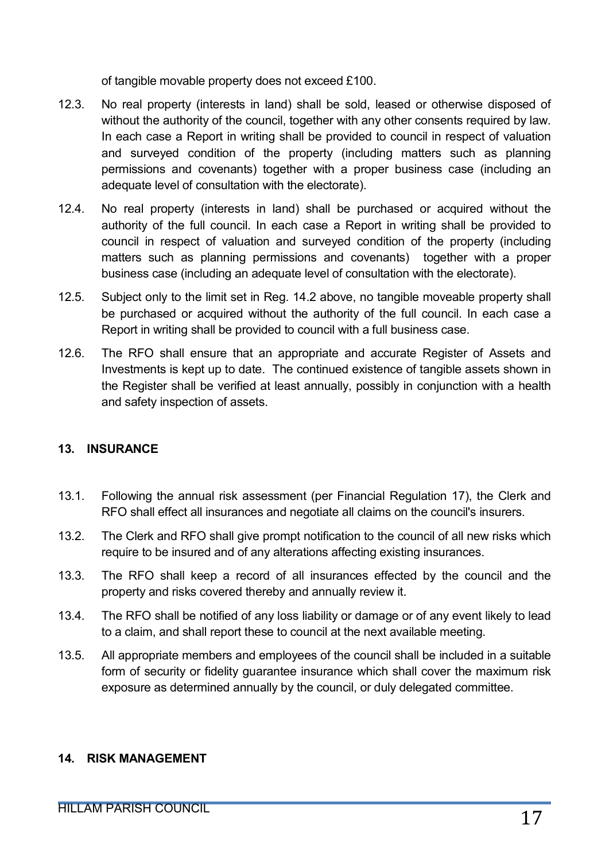of tangible movable property does not exceed £100.

- 12.3. No real property (interests in land) shall be sold, leased or otherwise disposed of without the authority of the council, together with any other consents required by law. In each case a Report in writing shall be provided to council in respect of valuation and surveyed condition of the property (including matters such as planning permissions and covenants) together with a proper business case (including an adequate level of consultation with the electorate).
- 12.4. No real property (interests in land) shall be purchased or acquired without the authority of the full council. In each case a Report in writing shall be provided to council in respect of valuation and surveyed condition of the property (including matters such as planning permissions and covenants) together with a proper business case (including an adequate level of consultation with the electorate).
- 12.5. Subject only to the limit set in Reg. 14.2 above, no tangible moveable property shall be purchased or acquired without the authority of the full council. In each case a Report in writing shall be provided to council with a full business case.
- 12.6. The RFO shall ensure that an appropriate and accurate Register of Assets and Investments is kept up to date. The continued existence of tangible assets shown in the Register shall be verified at least annually, possibly in conjunction with a health and safety inspection of assets.

## 13. INSURANCE

- 13.1. Following the annual risk assessment (per Financial Regulation 17), the Clerk and RFO shall effect all insurances and negotiate all claims on the council's insurers.
- 13.2. The Clerk and RFO shall give prompt notification to the council of all new risks which require to be insured and of any alterations affecting existing insurances.
- 13.3. The RFO shall keep a record of all insurances effected by the council and the property and risks covered thereby and annually review it.
- 13.4. The RFO shall be notified of any loss liability or damage or of any event likely to lead to a claim, and shall report these to council at the next available meeting.
- 13.5. All appropriate members and employees of the council shall be included in a suitable form of security or fidelity guarantee insurance which shall cover the maximum risk exposure as determined annually by the council, or duly delegated committee.

#### 14. RISK MANAGEMENT